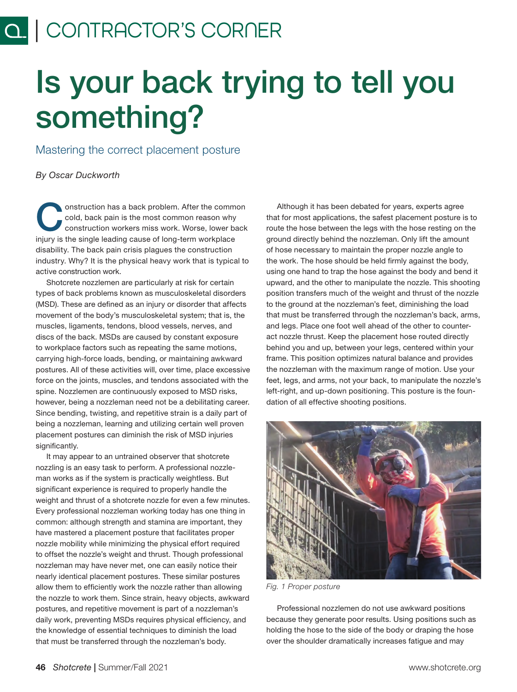# Is your back trying to tell you something?

Mastering the correct placement posture

*By Oscar Duckworth*

Onstruction has a back problem. After the common<br>cold, back pain is the most common reason why<br>construction workers miss work. Worse, lower back<br>interesting the simple location across of locations workedness cold, back pain is the most common reason why construction workers miss work. Worse, lower back injury is the single leading cause of long-term workplace disability. The back pain crisis plagues the construction industry. Why? It is the physical heavy work that is typical to active construction work.

Shotcrete nozzlemen are particularly at risk for certain types of back problems known as musculoskeletal disorders (MSD). These are defined as an injury or disorder that affects movement of the body's musculoskeletal system; that is, the muscles, ligaments, tendons, blood vessels, nerves, and discs of the back. MSDs are caused by constant exposure to workplace factors such as repeating the same motions, carrying high-force loads, bending, or maintaining awkward postures. All of these activities will, over time, place excessive force on the joints, muscles, and tendons associated with the spine. Nozzlemen are continuously exposed to MSD risks, however, being a nozzleman need not be a debilitating career. Since bending, twisting, and repetitive strain is a daily part of being a nozzleman, learning and utilizing certain well proven placement postures can diminish the risk of MSD injuries significantly.

It may appear to an untrained observer that shotcrete nozzling is an easy task to perform. A professional nozzleman works as if the system is practically weightless. But significant experience is required to properly handle the weight and thrust of a shotcrete nozzle for even a few minutes. Every professional nozzleman working today has one thing in common: although strength and stamina are important, they have mastered a placement posture that facilitates proper nozzle mobility while minimizing the physical effort required to offset the nozzle's weight and thrust. Though professional nozzleman may have never met, one can easily notice their nearly identical placement postures. These similar postures allow them to efficiently work the nozzle rather than allowing the nozzle to work them. Since strain, heavy objects, awkward postures, and repetitive movement is part of a nozzleman's daily work, preventing MSDs requires physical efficiency, and the knowledge of essential techniques to diminish the load that must be transferred through the nozzleman's body.

Although it has been debated for years, experts agree that for most applications, the safest placement posture is to route the hose between the legs with the hose resting on the ground directly behind the nozzleman. Only lift the amount of hose necessary to maintain the proper nozzle angle to the work. The hose should be held firmly against the body, using one hand to trap the hose against the body and bend it upward, and the other to manipulate the nozzle. This shooting position transfers much of the weight and thrust of the nozzle to the ground at the nozzleman's feet, diminishing the load that must be transferred through the nozzleman's back, arms, and legs. Place one foot well ahead of the other to counteract nozzle thrust. Keep the placement hose routed directly behind you and up, between your legs, centered within your frame. This position optimizes natural balance and provides the nozzleman with the maximum range of motion. Use your feet, legs, and arms, not your back, to manipulate the nozzle's left-right, and up-down positioning. This posture is the foundation of all effective shooting positions.



*Fig. 1 Proper posture*

Professional nozzlemen do not use awkward positions because they generate poor results. Using positions such as holding the hose to the side of the body or draping the hose over the shoulder dramatically increases fatigue and may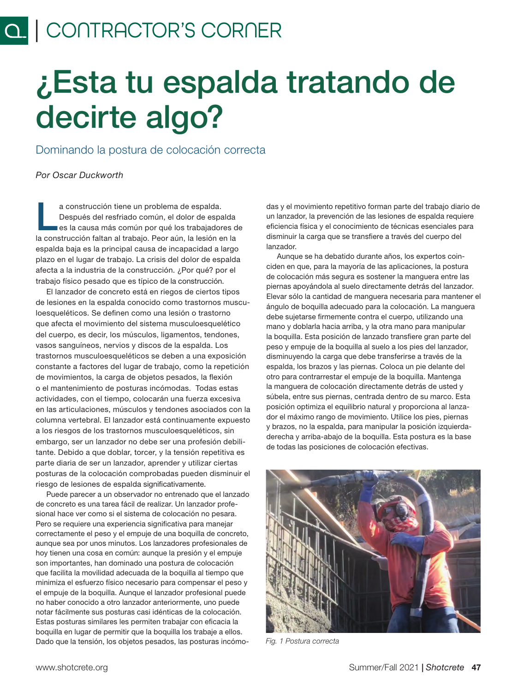## ¿Esta tu espalda tratando de decirte algo?

Dominando la postura de colocación correcta

*Por Oscar Duckworth*

a construcción tiene un problema de espalda.<br>Después del resfriado común, el dolor de espa<br>es la causa más común por qué los trabajador Después del resfriado común, el dolor de espalda es la causa más común por qué los trabajadores de la construcción faltan al trabajo. Peor aún, la lesión en la espalda baja es la principal causa de incapacidad a largo plazo en el lugar de trabajo. La crisis del dolor de espalda afecta a la industria de la construcción. ¿Por qué? por el trabajo físico pesado que es típico de la construcción.

El lanzador de concreto está en riegos de ciertos tipos de lesiones en la espalda conocido como trastornos musculoesqueléticos. Se definen como una lesión o trastorno que afecta el movimiento del sistema musculoesquelético del cuerpo, es decir, los músculos, ligamentos, tendones, vasos sanguíneos, nervios y discos de la espalda. Los trastornos musculoesqueléticos se deben a una exposición constante a factores del lugar de trabajo, como la repetición de movimientos, la carga de objetos pesados, la flexión o el mantenimiento de posturas incómodas. Todas estas actividades, con el tiempo, colocarán una fuerza excesiva en las articulaciones, músculos y tendones asociados con la columna vertebral. El lanzador está continuamente expuesto a los riesgos de los trastornos musculoesqueléticos, sin embargo, ser un lanzador no debe ser una profesión debilitante. Debido a que doblar, torcer, y la tensión repetitiva es parte diaria de ser un lanzador, aprender y utilizar ciertas posturas de la colocación comprobadas pueden disminuir el riesgo de lesiones de espalda significativamente.

Puede parecer a un observador no entrenado que el lanzado de concreto es una tarea fácil de realizar. Un lanzador profesional hace ver como si el sistema de colocación no pesara. Pero se requiere una experiencia significativa para manejar correctamente el peso y el empuje de una boquilla de concreto, aunque sea por unos minutos. Los lanzadores profesionales de hoy tienen una cosa en común: aunque la presión y el empuje son importantes, han dominado una postura de colocación que facilita la movilidad adecuada de la boquilla al tiempo que minimiza el esfuerzo físico necesario para compensar el peso y el empuje de la boquilla. Aunque el lanzador profesional puede no haber conocido a otro lanzador anteriormente, uno puede notar fácilmente sus posturas casi idénticas de la colocación. Estas posturas similares les permiten trabajar con eficacia la boquilla en lugar de permitir que la boquilla los trabaje a ellos. Dado que la tensión, los objetos pesados, las posturas incómo-

das y el movimiento repetitivo forman parte del trabajo diario de un lanzador, la prevención de las lesiones de espalda requiere eficiencia física y el conocimiento de técnicas esenciales para disminuir la carga que se transfiere a través del cuerpo del lanzador.

Aunque se ha debatido durante años, los expertos coinciden en que, para la mayoría de las aplicaciones, la postura de colocación más segura es sostener la manguera entre las piernas apoyándola al suelo directamente detrás del lanzador. Elevar sólo la cantidad de manguera necesaria para mantener el ángulo de boquilla adecuado para la colocación. La manguera debe sujetarse firmemente contra el cuerpo, utilizando una mano y doblarla hacia arriba, y la otra mano para manipular la boquilla. Esta posición de lanzado transfiere gran parte del peso y empuje de la boquilla al suelo a los pies del lanzador, disminuyendo la carga que debe transferirse a través de la espalda, los brazos y las piernas. Coloca un pie delante del otro para contrarrestar el empuje de la boquilla. Mantenga la manguera de colocación directamente detrás de usted y súbela, entre sus piernas, centrada dentro de su marco. Esta posición optimiza el equilibrio natural y proporciona al lanzador el máximo rango de movimiento. Utilice los pies, piernas y brazos, no la espalda, para manipular la posición izquierdaderecha y arriba-abajo de la boquilla. Esta postura es la base de todas las posiciones de colocación efectivas.



*Fig. 1 Postura correcta*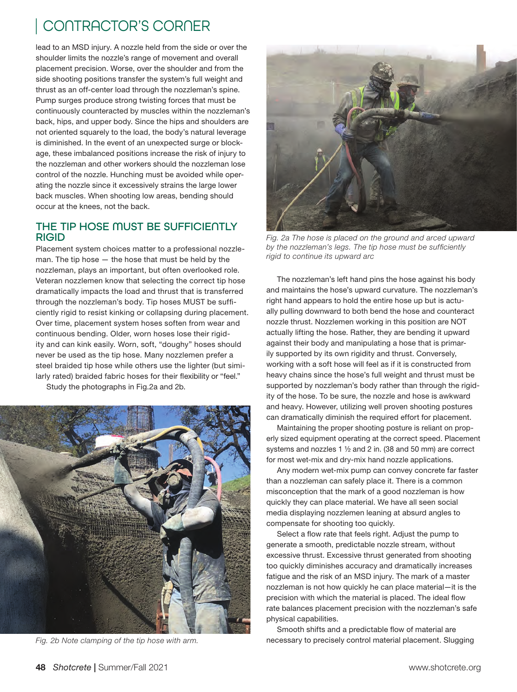lead to an MSD injury. A nozzle held from the side or over the shoulder limits the nozzle's range of movement and overall placement precision. Worse, over the shoulder and from the side shooting positions transfer the system's full weight and thrust as an off-center load through the nozzleman's spine. Pump surges produce strong twisting forces that must be continuously counteracted by muscles within the nozzleman's back, hips, and upper body. Since the hips and shoulders are not oriented squarely to the load, the body's natural leverage is diminished. In the event of an unexpected surge or blockage, these imbalanced positions increase the risk of injury to the nozzleman and other workers should the nozzleman lose control of the nozzle. Hunching must be avoided while operating the nozzle since it excessively strains the large lower back muscles. When shooting low areas, bending should occur at the knees, not the back.

#### THE TIP HOSE MUST BE SUFFICIENTLY RIGID

Placement system choices matter to a professional nozzleman. The tip hose — the hose that must be held by the nozzleman, plays an important, but often overlooked role. Veteran nozzlemen know that selecting the correct tip hose dramatically impacts the load and thrust that is transferred through the nozzleman's body. Tip hoses MUST be sufficiently rigid to resist kinking or collapsing during placement. Over time, placement system hoses soften from wear and continuous bending. Older, worn hoses lose their rigidity and can kink easily. Worn, soft, "doughy" hoses should never be used as the tip hose. Many nozzlemen prefer a steel braided tip hose while others use the lighter (but similarly rated) braided fabric hoses for their flexibility or "feel."

Study the photographs in Fig.2a and 2b.



*Fig. 2b Note clamping of the tip hose with arm.*



Fig. 2a The hose is placed on the ground and arced upward *by the nozzleman's legs. The tip hose must be sufficiently rigid to continue its upward arc*

The nozzleman's left hand pins the hose against his body and maintains the hose's upward curvature. The nozzleman's right hand appears to hold the entire hose up but is actually pulling downward to both bend the hose and counteract nozzle thrust. Nozzlemen working in this position are NOT actually lifting the hose. Rather, they are bending it upward against their body and manipulating a hose that is primarily supported by its own rigidity and thrust. Conversely, working with a soft hose will feel as if it is constructed from heavy chains since the hose's full weight and thrust must be supported by nozzleman's body rather than through the rigidity of the hose. To be sure, the nozzle and hose is awkward and heavy. However, utilizing well proven shooting postures can dramatically diminish the required effort for placement.

Maintaining the proper shooting posture is reliant on properly sized equipment operating at the correct speed. Placement systems and nozzles 1 ½ and 2 in. (38 and 50 mm) are correct for most wet-mix and dry-mix hand nozzle applications.

Any modern wet-mix pump can convey concrete far faster than a nozzleman can safely place it. There is a common misconception that the mark of a good nozzleman is how quickly they can place material. We have all seen social media displaying nozzlemen leaning at absurd angles to compensate for shooting too quickly.

Select a flow rate that feels right. Adjust the pump to generate a smooth, predictable nozzle stream, without excessive thrust. Excessive thrust generated from shooting too quickly diminishes accuracy and dramatically increases fatigue and the risk of an MSD injury. The mark of a master nozzleman is not how quickly he can place material—it is the precision with which the material is placed. The ideal flow rate balances placement precision with the nozzleman's safe physical capabilities.

Smooth shifts and a predictable flow of material are necessary to precisely control material placement. Slugging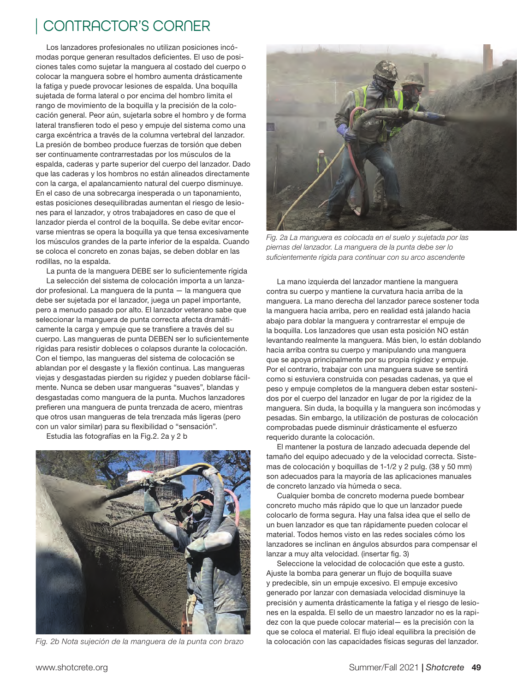Los lanzadores profesionales no utilizan posiciones incómodas porque generan resultados deficientes. El uso de posiciones tales como sujetar la manguera al costado del cuerpo o colocar la manguera sobre el hombro aumenta drásticamente la fatiga y puede provocar lesiones de espalda. Una boquilla sujetada de forma lateral o por encima del hombro limita el rango de movimiento de la boquilla y la precisión de la colocación general. Peor aún, sujetarla sobre el hombro y de forma lateral transfieren todo el peso y empuje del sistema como una carga excéntrica a través de la columna vertebral del lanzador. La presión de bombeo produce fuerzas de torsión que deben ser continuamente contrarrestadas por los músculos de la espalda, caderas y parte superior del cuerpo del lanzador. Dado que las caderas y los hombros no están alineados directamente con la carga, el apalancamiento natural del cuerpo disminuye. En el caso de una sobrecarga inesperada o un taponamiento, estas posiciones desequilibradas aumentan el riesgo de lesiones para el lanzador, y otros trabajadores en caso de que el lanzador pierda el control de la boquilla. Se debe evitar encorvarse mientras se opera la boquilla ya que tensa excesivamente los músculos grandes de la parte inferior de la espalda. Cuando se coloca el concreto en zonas bajas, se deben doblar en las rodillas, no la espalda.

La punta de la manguera DEBE ser lo suficientemente rígida La selección del sistema de colocación importa a un lanzador profesional. La manguera de la punta — la manguera que debe ser sujetada por el lanzador, juega un papel importante, pero a menudo pasado por alto. El lanzador veterano sabe que seleccionar la manguera de punta correcta afecta dramáticamente la carga y empuje que se transfiere a través del su cuerpo. Las mangueras de punta DEBEN ser lo suficientemente rígidas para resistir dobleces o colapsos durante la colocación. Con el tiempo, las mangueras del sistema de colocación se ablandan por el desgaste y la flexión continua. Las mangueras viejas y desgastadas pierden su rigidez y pueden doblarse fácilmente. Nunca se deben usar mangueras "suaves", blandas y desgastadas como manguera de la punta. Muchos lanzadores prefieren una manguera de punta trenzada de acero, mientras que otros usan mangueras de tela trenzada más ligeras (pero con un valor similar) para su flexibilidad o "sensación".

Estudia las fotografías en la Fig.2. 2a y 2 b



*Fig. 2b Nota sujeción de la manguera de la punta con brazo*



*Fig. 2a La manguera es colocada en el suelo y sujetada por las piernas del lanzador. La manguera de la punta debe ser lo suficientemente rígida para continuar con su arco ascendente*

La mano izquierda del lanzador mantiene la manguera contra su cuerpo y mantiene la curvatura hacia arriba de la manguera. La mano derecha del lanzador parece sostener toda la manguera hacia arriba, pero en realidad está jalando hacia abajo para doblar la manguera y contrarrestar el empuje de la boquilla. Los lanzadores que usan esta posición NO están levantando realmente la manguera. Más bien, lo están doblando hacia arriba contra su cuerpo y manipulando una manguera que se apoya principalmente por su propia rigidez y empuje. Por el contrario, trabajar con una manguera suave se sentirá como si estuviera construida con pesadas cadenas, ya que el peso y empuje completos de la manguera deben estar sostenidos por el cuerpo del lanzador en lugar de por la rigidez de la manguera. Sin duda, la boquilla y la manguera son incómodas y pesadas. Sin embargo, la utilización de posturas de colocación comprobadas puede disminuir drásticamente el esfuerzo requerido durante la colocación.

El mantener la postura de lanzado adecuada depende del tamaño del equipo adecuado y de la velocidad correcta. Sistemas de colocación y boquillas de 1-1/2 y 2 pulg. (38 y 50 mm) son adecuados para la mayoría de las aplicaciones manuales de concreto lanzado vía húmeda o seca.

Cualquier bomba de concreto moderna puede bombear concreto mucho más rápido que lo que un lanzador puede colocarlo de forma segura. Hay una falsa idea que el sello de un buen lanzador es que tan rápidamente pueden colocar el material. Todos hemos visto en las redes sociales cómo los lanzadores se inclinan en ángulos absurdos para compensar el lanzar a muy alta velocidad. (insertar fig. 3)

Seleccione la velocidad de colocación que este a gusto. Ajuste la bomba para generar un flujo de boquilla suave y predecible, sin un empuje excesivo. El empuje excesivo generado por lanzar con demasiada velocidad disminuye la precisión y aumenta drásticamente la fatiga y el riesgo de lesiones en la espalda. El sello de un maestro lanzador no es la rapidez con la que puede colocar material— es la precisión con la que se coloca el material. El flujo ideal equilibra la precisión de la colocación con las capacidades físicas seguras del lanzador.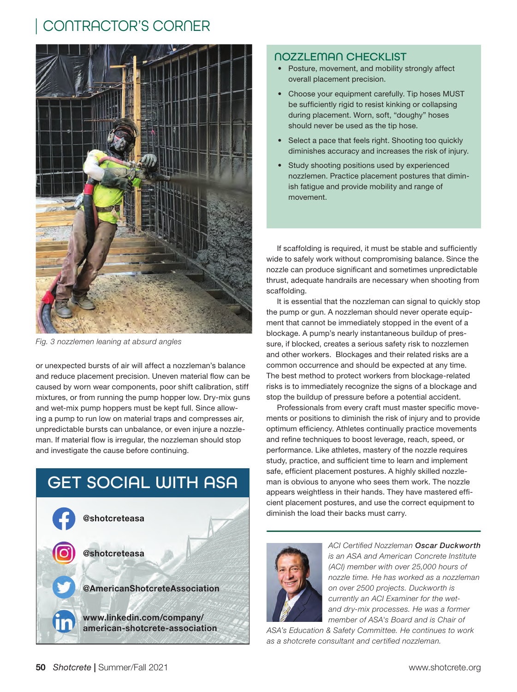

*Fig. 3 nozzlemen leaning at absurd angles*

or unexpected bursts of air will affect a nozzleman's balance and reduce placement precision. Uneven material flow can be caused by worn wear components, poor shift calibration, stiff mixtures, or from running the pump hopper low. Dry-mix guns and wet-mix pump hoppers must be kept full. Since allowing a pump to run low on material traps and compresses air, unpredictable bursts can unbalance, or even injure a nozzleman. If material flow is irregular, the nozzleman should stop and investigate the cause before continuing.



#### NOZZLEMAN CHECKLIST

- Posture, movement, and mobility strongly affect overall placement precision.
- Choose your equipment carefully. Tip hoses MUST be sufficiently rigid to resist kinking or collapsing during placement. Worn, soft, "doughy" hoses should never be used as the tip hose.
- Select a pace that feels right. Shooting too quickly diminishes accuracy and increases the risk of injury.
- Study shooting positions used by experienced nozzlemen. Practice placement postures that diminish fatigue and provide mobility and range of movement.

If scaffolding is required, it must be stable and sufficiently wide to safely work without compromising balance. Since the nozzle can produce significant and sometimes unpredictable thrust, adequate handrails are necessary when shooting from scaffolding.

It is essential that the nozzleman can signal to quickly stop the pump or gun. A nozzleman should never operate equipment that cannot be immediately stopped in the event of a blockage. A pump's nearly instantaneous buildup of pressure, if blocked, creates a serious safety risk to nozzlemen and other workers. Blockages and their related risks are a common occurrence and should be expected at any time. The best method to protect workers from blockage-related risks is to immediately recognize the signs of a blockage and stop the buildup of pressure before a potential accident.

Professionals from every craft must master specific movements or positions to diminish the risk of injury and to provide optimum efficiency. Athletes continually practice movements and refine techniques to boost leverage, reach, speed, or performance. Like athletes, mastery of the nozzle requires study, practice, and sufficient time to learn and implement safe, efficient placement postures. A highly skilled nozzleman is obvious to anyone who sees them work. The nozzle appears weightless in their hands. They have mastered efficient placement postures, and use the correct equipment to diminish the load their backs must carry.



*ACI Certified Nozzleman Oscar Duckworth is an ASA and American Concrete Institute (ACI) member with over 25,000 hours of nozzle time. He has worked as a nozzleman on over 2500 projects. Duckworth is currently an ACI Examiner for the wetand dry-mix processes. He was a former member of ASA's Board and is Chair of* 

*ASA's Education & Safety Committee. He continues to work as a shotcrete consultant and certified nozzleman.*